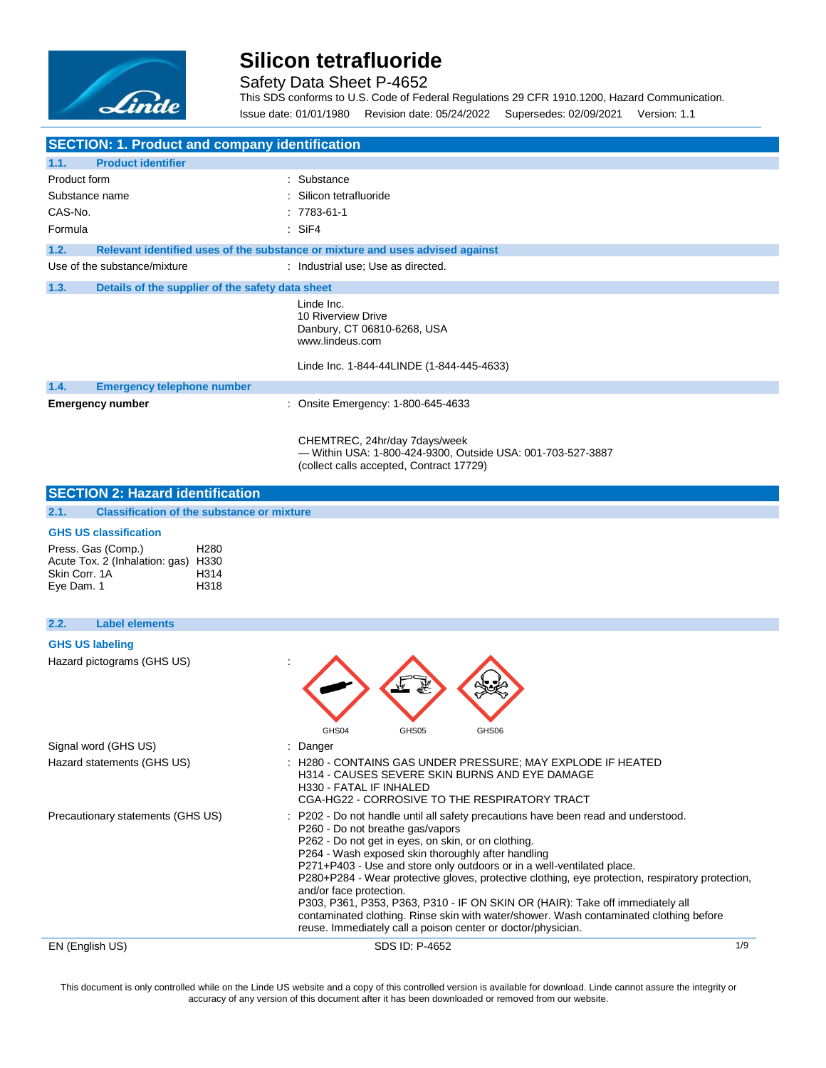

Safety Data Sheet P-4652

This SDS conforms to U.S. Code of Federal Regulations 29 CFR 1910.1200, Hazard Communication. Issue date: 01/01/1980 Revision date: 05/24/2022 Supersedes: 02/09/2021 Version: 1.1

| <b>SECTION: 1. Product and company identification</b>                                    |                                                   |                                                                                                                                                                                                                                                                                                                                                                                                                                                                                                                                                                                                                                                                                       |     |
|------------------------------------------------------------------------------------------|---------------------------------------------------|---------------------------------------------------------------------------------------------------------------------------------------------------------------------------------------------------------------------------------------------------------------------------------------------------------------------------------------------------------------------------------------------------------------------------------------------------------------------------------------------------------------------------------------------------------------------------------------------------------------------------------------------------------------------------------------|-----|
| <b>Product identifier</b><br>1.1.                                                        |                                                   |                                                                                                                                                                                                                                                                                                                                                                                                                                                                                                                                                                                                                                                                                       |     |
| Product form                                                                             |                                                   | : Substance                                                                                                                                                                                                                                                                                                                                                                                                                                                                                                                                                                                                                                                                           |     |
| Substance name                                                                           |                                                   | Silicon tetrafluoride                                                                                                                                                                                                                                                                                                                                                                                                                                                                                                                                                                                                                                                                 |     |
| CAS-No.                                                                                  |                                                   | $: 7783 - 61 - 1$                                                                                                                                                                                                                                                                                                                                                                                                                                                                                                                                                                                                                                                                     |     |
| Formula                                                                                  |                                                   | $:$ SiF4                                                                                                                                                                                                                                                                                                                                                                                                                                                                                                                                                                                                                                                                              |     |
| 1.2.                                                                                     |                                                   | Relevant identified uses of the substance or mixture and uses advised against                                                                                                                                                                                                                                                                                                                                                                                                                                                                                                                                                                                                         |     |
| Use of the substance/mixture                                                             |                                                   | : Industrial use; Use as directed.                                                                                                                                                                                                                                                                                                                                                                                                                                                                                                                                                                                                                                                    |     |
| 1.3.                                                                                     | Details of the supplier of the safety data sheet  |                                                                                                                                                                                                                                                                                                                                                                                                                                                                                                                                                                                                                                                                                       |     |
|                                                                                          |                                                   | Linde Inc.<br>10 Riverview Drive<br>Danbury, CT 06810-6268, USA<br>www.lindeus.com<br>Linde Inc. 1-844-44LINDE (1-844-445-4633)                                                                                                                                                                                                                                                                                                                                                                                                                                                                                                                                                       |     |
| 1.4.<br><b>Emergency telephone number</b>                                                |                                                   |                                                                                                                                                                                                                                                                                                                                                                                                                                                                                                                                                                                                                                                                                       |     |
| <b>Emergency number</b>                                                                  |                                                   | : Onsite Emergency: 1-800-645-4633                                                                                                                                                                                                                                                                                                                                                                                                                                                                                                                                                                                                                                                    |     |
|                                                                                          |                                                   |                                                                                                                                                                                                                                                                                                                                                                                                                                                                                                                                                                                                                                                                                       |     |
|                                                                                          |                                                   | CHEMTREC, 24hr/day 7days/week<br>- Within USA: 1-800-424-9300, Outside USA: 001-703-527-3887<br>(collect calls accepted, Contract 17729)                                                                                                                                                                                                                                                                                                                                                                                                                                                                                                                                              |     |
| <b>SECTION 2: Hazard identification</b>                                                  |                                                   |                                                                                                                                                                                                                                                                                                                                                                                                                                                                                                                                                                                                                                                                                       |     |
| 2.1.                                                                                     | <b>Classification of the substance or mixture</b> |                                                                                                                                                                                                                                                                                                                                                                                                                                                                                                                                                                                                                                                                                       |     |
| <b>GHS US classification</b>                                                             |                                                   |                                                                                                                                                                                                                                                                                                                                                                                                                                                                                                                                                                                                                                                                                       |     |
| Press. Gas (Comp.)<br>Acute Tox. 2 (Inhalation: gas) H330<br>Skin Corr, 1A<br>Eye Dam. 1 | H <sub>280</sub><br>H314<br>H318                  |                                                                                                                                                                                                                                                                                                                                                                                                                                                                                                                                                                                                                                                                                       |     |
| <b>Label elements</b><br>2.2.                                                            |                                                   |                                                                                                                                                                                                                                                                                                                                                                                                                                                                                                                                                                                                                                                                                       |     |
| <b>GHS US labeling</b>                                                                   |                                                   |                                                                                                                                                                                                                                                                                                                                                                                                                                                                                                                                                                                                                                                                                       |     |
| Hazard pictograms (GHS US)                                                               |                                                   | GHS04<br>GHS05<br>GHS06                                                                                                                                                                                                                                                                                                                                                                                                                                                                                                                                                                                                                                                               |     |
| Signal word (GHS US)                                                                     |                                                   | Danger                                                                                                                                                                                                                                                                                                                                                                                                                                                                                                                                                                                                                                                                                |     |
| Hazard statements (GHS US)                                                               |                                                   | H280 - CONTAINS GAS UNDER PRESSURE; MAY EXPLODE IF HEATED<br>H314 - CAUSES SEVERE SKIN BURNS AND EYE DAMAGE<br>H330 - FATAL IF INHALED<br>CGA-HG22 - CORROSIVE TO THE RESPIRATORY TRACT                                                                                                                                                                                                                                                                                                                                                                                                                                                                                               |     |
| Precautionary statements (GHS US)                                                        |                                                   | P202 - Do not handle until all safety precautions have been read and understood.<br>P260 - Do not breathe gas/vapors<br>P262 - Do not get in eyes, on skin, or on clothing.<br>P264 - Wash exposed skin thoroughly after handling<br>P271+P403 - Use and store only outdoors or in a well-ventilated place.<br>P280+P284 - Wear protective gloves, protective clothing, eye protection, respiratory protection,<br>and/or face protection.<br>P303, P361, P353, P363, P310 - IF ON SKIN OR (HAIR): Take off immediately all<br>contaminated clothing. Rinse skin with water/shower. Wash contaminated clothing before<br>reuse. Immediately call a poison center or doctor/physician. |     |
| EN (English US)                                                                          |                                                   | SDS ID: P-4652                                                                                                                                                                                                                                                                                                                                                                                                                                                                                                                                                                                                                                                                        | 1/9 |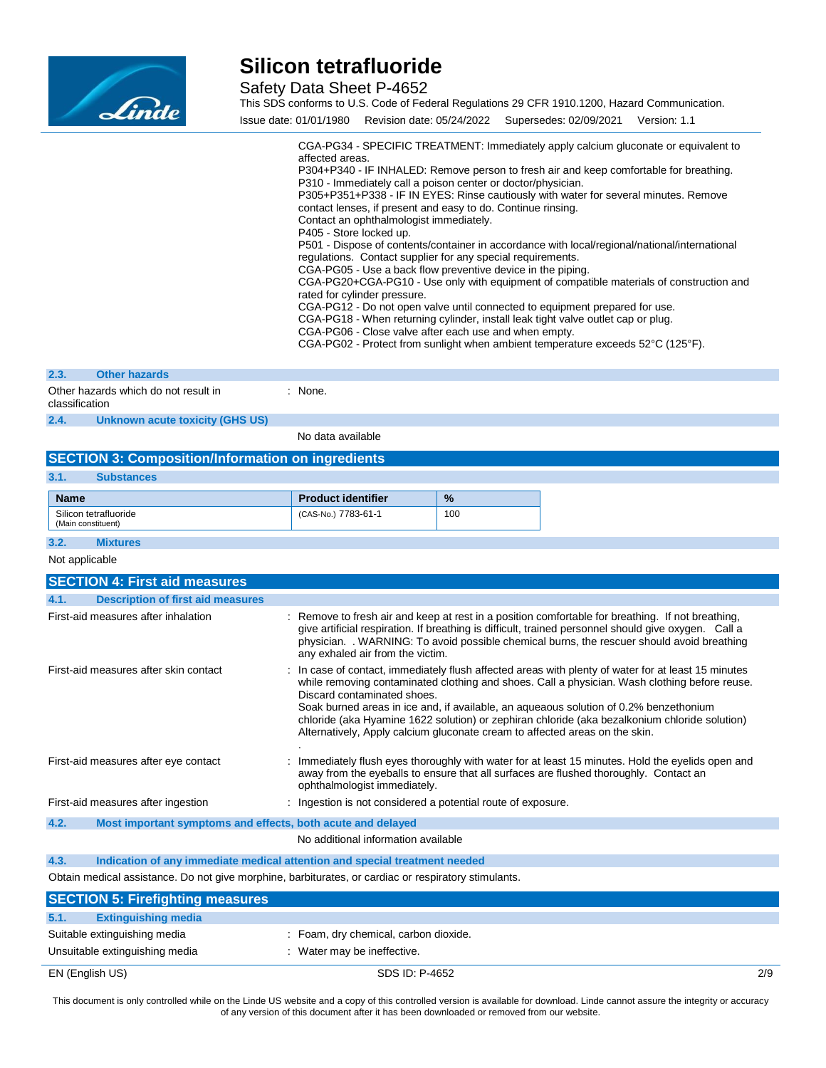

Safety Data Sheet P-4652

This SDS conforms to U.S. Code of Federal Regulations 29 CFR 1910.1200, Hazard Communication. Issue date: 01/01/1980 Revision date: 05/24/2022 Supersedes: 02/09/2021 Version: 1.1

|                                       |                                                          | affected areas.<br>P310 - Immediately call a poison center or doctor/physician.<br>contact lenses, if present and easy to do. Continue rinsing.<br>Contact an ophthalmologist immediately.<br>P405 - Store locked up.<br>regulations. Contact supplier for any special requirements.<br>CGA-PG05 - Use a back flow preventive device in the piping.<br>rated for cylinder pressure.<br>CGA-PG06 - Close valve after each use and when empty. |     | CGA-PG34 - SPECIFIC TREATMENT: Immediately apply calcium gluconate or equivalent to<br>P304+P340 - IF INHALED: Remove person to fresh air and keep comfortable for breathing.<br>P305+P351+P338 - IF IN EYES: Rinse cautiously with water for several minutes. Remove<br>P501 - Dispose of contents/container in accordance with local/regional/national/international<br>CGA-PG20+CGA-PG10 - Use only with equipment of compatible materials of construction and<br>CGA-PG12 - Do not open valve until connected to equipment prepared for use.<br>CGA-PG18 - When returning cylinder, install leak tight valve outlet cap or plug.<br>CGA-PG02 - Protect from sunlight when ambient temperature exceeds 52°C (125°F). |  |
|---------------------------------------|----------------------------------------------------------|----------------------------------------------------------------------------------------------------------------------------------------------------------------------------------------------------------------------------------------------------------------------------------------------------------------------------------------------------------------------------------------------------------------------------------------------|-----|-------------------------------------------------------------------------------------------------------------------------------------------------------------------------------------------------------------------------------------------------------------------------------------------------------------------------------------------------------------------------------------------------------------------------------------------------------------------------------------------------------------------------------------------------------------------------------------------------------------------------------------------------------------------------------------------------------------------------|--|
| 2.3.                                  | <b>Other hazards</b>                                     |                                                                                                                                                                                                                                                                                                                                                                                                                                              |     |                                                                                                                                                                                                                                                                                                                                                                                                                                                                                                                                                                                                                                                                                                                         |  |
| classification                        | Other hazards which do not result in                     | : None.                                                                                                                                                                                                                                                                                                                                                                                                                                      |     |                                                                                                                                                                                                                                                                                                                                                                                                                                                                                                                                                                                                                                                                                                                         |  |
| 2.4.                                  | <b>Unknown acute toxicity (GHS US)</b>                   |                                                                                                                                                                                                                                                                                                                                                                                                                                              |     |                                                                                                                                                                                                                                                                                                                                                                                                                                                                                                                                                                                                                                                                                                                         |  |
|                                       |                                                          | No data available                                                                                                                                                                                                                                                                                                                                                                                                                            |     |                                                                                                                                                                                                                                                                                                                                                                                                                                                                                                                                                                                                                                                                                                                         |  |
|                                       | <b>SECTION 3: Composition/Information on ingredients</b> |                                                                                                                                                                                                                                                                                                                                                                                                                                              |     |                                                                                                                                                                                                                                                                                                                                                                                                                                                                                                                                                                                                                                                                                                                         |  |
| 3.1.                                  | <b>Substances</b>                                        |                                                                                                                                                                                                                                                                                                                                                                                                                                              |     |                                                                                                                                                                                                                                                                                                                                                                                                                                                                                                                                                                                                                                                                                                                         |  |
| <b>Name</b>                           |                                                          | <b>Product identifier</b>                                                                                                                                                                                                                                                                                                                                                                                                                    | %   |                                                                                                                                                                                                                                                                                                                                                                                                                                                                                                                                                                                                                                                                                                                         |  |
|                                       | Silicon tetrafluoride<br>(Main constituent)              | (CAS-No.) 7783-61-1                                                                                                                                                                                                                                                                                                                                                                                                                          | 100 |                                                                                                                                                                                                                                                                                                                                                                                                                                                                                                                                                                                                                                                                                                                         |  |
| 3.2.                                  | <b>Mixtures</b>                                          |                                                                                                                                                                                                                                                                                                                                                                                                                                              |     |                                                                                                                                                                                                                                                                                                                                                                                                                                                                                                                                                                                                                                                                                                                         |  |
| Not applicable                        |                                                          |                                                                                                                                                                                                                                                                                                                                                                                                                                              |     |                                                                                                                                                                                                                                                                                                                                                                                                                                                                                                                                                                                                                                                                                                                         |  |
|                                       | <b>SECTION 4: First aid measures</b>                     |                                                                                                                                                                                                                                                                                                                                                                                                                                              |     |                                                                                                                                                                                                                                                                                                                                                                                                                                                                                                                                                                                                                                                                                                                         |  |
| 4.1.                                  | <b>Description of first aid measures</b>                 |                                                                                                                                                                                                                                                                                                                                                                                                                                              |     |                                                                                                                                                                                                                                                                                                                                                                                                                                                                                                                                                                                                                                                                                                                         |  |
|                                       | First-aid measures after inhalation                      | any exhaled air from the victim.                                                                                                                                                                                                                                                                                                                                                                                                             |     | : Remove to fresh air and keep at rest in a position comfortable for breathing. If not breathing,<br>give artificial respiration. If breathing is difficult, trained personnel should give oxygen. Call a<br>physician. . WARNING: To avoid possible chemical burns, the rescuer should avoid breathing                                                                                                                                                                                                                                                                                                                                                                                                                 |  |
| First-aid measures after skin contact |                                                          | : In case of contact, immediately flush affected areas with plenty of water for at least 15 minutes<br>while removing contaminated clothing and shoes. Call a physician. Wash clothing before reuse.                                                                                                                                                                                                                                         |     |                                                                                                                                                                                                                                                                                                                                                                                                                                                                                                                                                                                                                                                                                                                         |  |

**4.3. Indication of any immediate medical attention and special treatment needed**

**4.2. Most important symptoms and effects, both acute and delayed**

Obtain medical assistance. Do not give morphine, barbiturates, or cardiac or respiratory stimulants.

.

First-aid measures after ingestion : Ingestion is not considered a potential route of exposure.

| <b>SECTION 5: Firefighting measures</b>                        |                                                                      |     |
|----------------------------------------------------------------|----------------------------------------------------------------------|-----|
| 5.1.<br><b>Extinguishing media</b>                             |                                                                      |     |
| Suitable extinguishing media<br>Unsuitable extinguishing media | : Foam, dry chemical, carbon dioxide.<br>: Water may be ineffective. |     |
| EN (English US)                                                | SDS ID: P-4652                                                       | 2/9 |

First-aid measures after eye contact : Immediately flush eyes thoroughly with water for at least 15 minutes. Hold the eyelids open and

Discard contaminated shoes.

ophthalmologist immediately.

No additional information available

Soak burned areas in ice and, if available, an aqueaous solution of 0.2% benzethonium chloride (aka Hyamine 1622 solution) or zephiran chloride (aka bezalkonium chloride solution)

away from the eyeballs to ensure that all surfaces are flushed thoroughly. Contact an

Alternatively, Apply calcium gluconate cream to affected areas on the skin.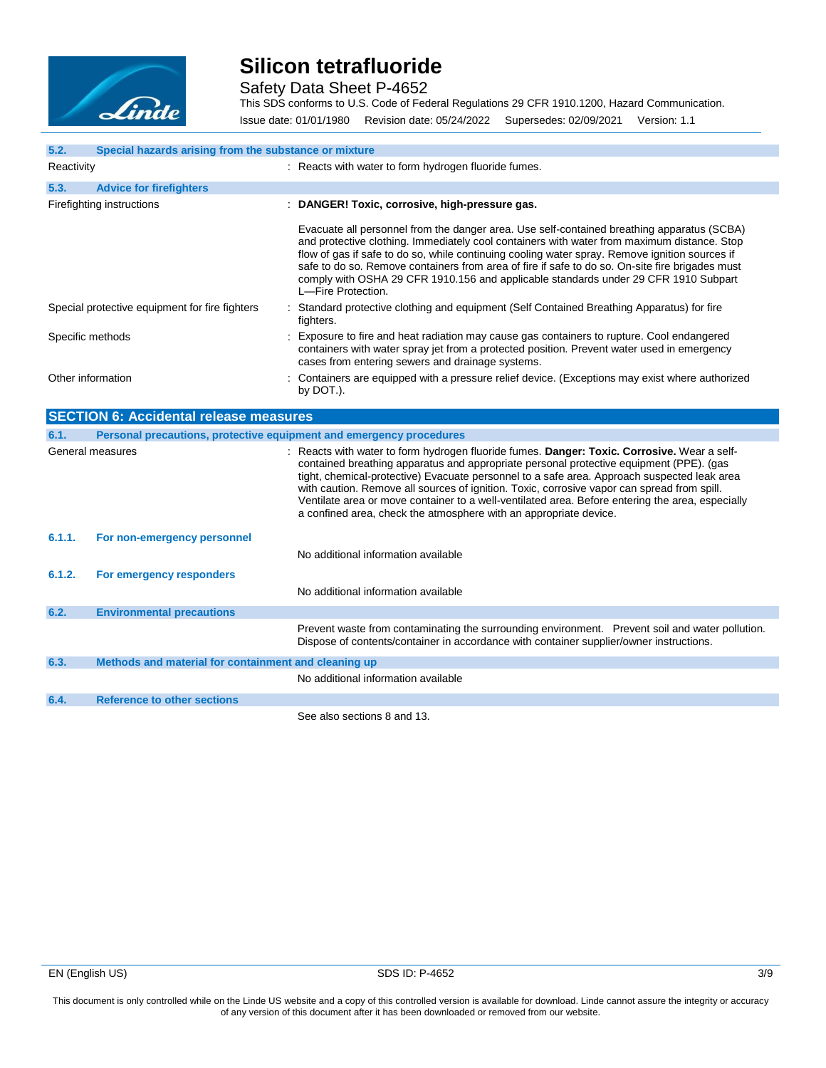

Safety Data Sheet P-4652

This SDS conforms to U.S. Code of Federal Regulations 29 CFR 1910.1200, Hazard Communication. Issue date: 01/01/1980 Revision date: 05/24/2022 Supersedes: 02/09/2021 Version: 1.1

| 5.2.              | Special hazards arising from the substance or mixture               |                                                                                                                                                                                                                                                                                                                                                                                                                                                                                                                                                               |  |  |
|-------------------|---------------------------------------------------------------------|---------------------------------------------------------------------------------------------------------------------------------------------------------------------------------------------------------------------------------------------------------------------------------------------------------------------------------------------------------------------------------------------------------------------------------------------------------------------------------------------------------------------------------------------------------------|--|--|
| Reactivity        |                                                                     | : Reacts with water to form hydrogen fluoride fumes.                                                                                                                                                                                                                                                                                                                                                                                                                                                                                                          |  |  |
| 5.3.              | <b>Advice for firefighters</b>                                      |                                                                                                                                                                                                                                                                                                                                                                                                                                                                                                                                                               |  |  |
|                   | Firefighting instructions                                           | : DANGER! Toxic, corrosive, high-pressure gas.                                                                                                                                                                                                                                                                                                                                                                                                                                                                                                                |  |  |
|                   |                                                                     | Evacuate all personnel from the danger area. Use self-contained breathing apparatus (SCBA)<br>and protective clothing. Immediately cool containers with water from maximum distance. Stop<br>flow of gas if safe to do so, while continuing cooling water spray. Remove ignition sources if<br>safe to do so. Remove containers from area of fire if safe to do so. On-site fire brigades must<br>comply with OSHA 29 CFR 1910.156 and applicable standards under 29 CFR 1910 Subpart<br>L-Fire Protection.                                                   |  |  |
|                   | Special protective equipment for fire fighters                      | : Standard protective clothing and equipment (Self Contained Breathing Apparatus) for fire<br>fighters.                                                                                                                                                                                                                                                                                                                                                                                                                                                       |  |  |
| Specific methods  |                                                                     | Exposure to fire and heat radiation may cause gas containers to rupture. Cool endangered<br>containers with water spray jet from a protected position. Prevent water used in emergency<br>cases from entering sewers and drainage systems.                                                                                                                                                                                                                                                                                                                    |  |  |
| Other information |                                                                     | : Containers are equipped with a pressure relief device. (Exceptions may exist where authorized<br>by DOT.).                                                                                                                                                                                                                                                                                                                                                                                                                                                  |  |  |
|                   | <b>SECTION 6: Accidental release measures</b>                       |                                                                                                                                                                                                                                                                                                                                                                                                                                                                                                                                                               |  |  |
| 6.1.              | Personal precautions, protective equipment and emergency procedures |                                                                                                                                                                                                                                                                                                                                                                                                                                                                                                                                                               |  |  |
|                   | General measures                                                    | : Reacts with water to form hydrogen fluoride fumes. Danger: Toxic. Corrosive. Wear a self-<br>contained breathing apparatus and appropriate personal protective equipment (PPE). (gas<br>tight, chemical-protective) Evacuate personnel to a safe area. Approach suspected leak area<br>with caution. Remove all sources of ignition. Toxic, corrosive vapor can spread from spill.<br>Ventilate area or move container to a well-ventilated area. Before entering the area, especially<br>a confined area, check the atmosphere with an appropriate device. |  |  |
| 6.1.1.            | For non-emergency personnel                                         |                                                                                                                                                                                                                                                                                                                                                                                                                                                                                                                                                               |  |  |
|                   |                                                                     | No additional information available                                                                                                                                                                                                                                                                                                                                                                                                                                                                                                                           |  |  |
| 6.1.2.            | For emergency responders                                            |                                                                                                                                                                                                                                                                                                                                                                                                                                                                                                                                                               |  |  |
|                   |                                                                     | No additional information available                                                                                                                                                                                                                                                                                                                                                                                                                                                                                                                           |  |  |
| 6.2.              | <b>Environmental precautions</b>                                    |                                                                                                                                                                                                                                                                                                                                                                                                                                                                                                                                                               |  |  |
|                   |                                                                     | Prevent waste from contaminating the surrounding environment. Prevent soil and water pollution.<br>Dispose of contents/container in accordance with container supplier/owner instructions.                                                                                                                                                                                                                                                                                                                                                                    |  |  |
| 6.3.              | Methods and material for containment and cleaning up                |                                                                                                                                                                                                                                                                                                                                                                                                                                                                                                                                                               |  |  |
|                   |                                                                     | No additional information available                                                                                                                                                                                                                                                                                                                                                                                                                                                                                                                           |  |  |
| 6.4.              | <b>Reference to other sections</b>                                  |                                                                                                                                                                                                                                                                                                                                                                                                                                                                                                                                                               |  |  |
|                   |                                                                     | See also sections 8 and 13.                                                                                                                                                                                                                                                                                                                                                                                                                                                                                                                                   |  |  |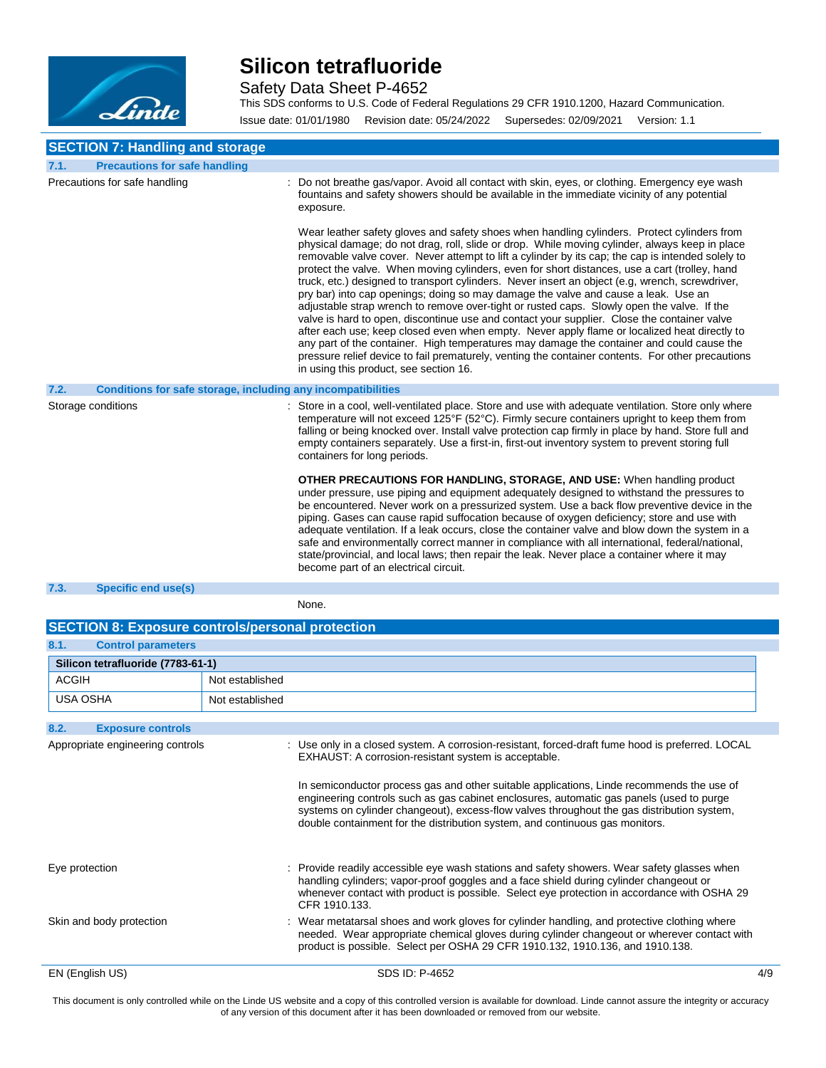

Safety Data Sheet P-4652

This SDS conforms to U.S. Code of Federal Regulations 29 CFR 1910.1200, Hazard Communication. Issue date: 01/01/1980 Revision date: 05/24/2022 Supersedes: 02/09/2021 Version: 1.1

### **SECTION 7: Handling and storage**

| 7.1.<br><b>Precautions for safe handling</b>                                |                                                                                                                                                                                                                                                                                                                                                                                                                                                                                                                                                                                                                                                                                                                                                                                                                                                                                                                                                                                                                                                                                                                                       |
|-----------------------------------------------------------------------------|---------------------------------------------------------------------------------------------------------------------------------------------------------------------------------------------------------------------------------------------------------------------------------------------------------------------------------------------------------------------------------------------------------------------------------------------------------------------------------------------------------------------------------------------------------------------------------------------------------------------------------------------------------------------------------------------------------------------------------------------------------------------------------------------------------------------------------------------------------------------------------------------------------------------------------------------------------------------------------------------------------------------------------------------------------------------------------------------------------------------------------------|
| Precautions for safe handling                                               | Do not breathe gas/vapor. Avoid all contact with skin, eyes, or clothing. Emergency eye wash<br>fountains and safety showers should be available in the immediate vicinity of any potential<br>exposure.                                                                                                                                                                                                                                                                                                                                                                                                                                                                                                                                                                                                                                                                                                                                                                                                                                                                                                                              |
|                                                                             | Wear leather safety gloves and safety shoes when handling cylinders. Protect cylinders from<br>physical damage; do not drag, roll, slide or drop. While moving cylinder, always keep in place<br>removable valve cover. Never attempt to lift a cylinder by its cap; the cap is intended solely to<br>protect the valve. When moving cylinders, even for short distances, use a cart (trolley, hand<br>truck, etc.) designed to transport cylinders. Never insert an object (e.g. wrench, screwdriver,<br>pry bar) into cap openings; doing so may damage the valve and cause a leak. Use an<br>adjustable strap wrench to remove over-tight or rusted caps. Slowly open the valve. If the<br>valve is hard to open, discontinue use and contact your supplier. Close the container valve<br>after each use; keep closed even when empty. Never apply flame or localized heat directly to<br>any part of the container. High temperatures may damage the container and could cause the<br>pressure relief device to fail prematurely, venting the container contents. For other precautions<br>in using this product, see section 16. |
| <b>Conditions for safe storage, including any incompatibilities</b><br>7.2. |                                                                                                                                                                                                                                                                                                                                                                                                                                                                                                                                                                                                                                                                                                                                                                                                                                                                                                                                                                                                                                                                                                                                       |
| Storage conditions                                                          | : Store in a cool, well-ventilated place. Store and use with adequate ventilation. Store only where<br>temperature will not exceed 125°F (52°C). Firmly secure containers upright to keep them from<br>falling or being knocked over. Install valve protection cap firmly in place by hand. Store full and<br>empty containers separately. Use a first-in, first-out inventory system to prevent storing full<br>containers for long periods.                                                                                                                                                                                                                                                                                                                                                                                                                                                                                                                                                                                                                                                                                         |
|                                                                             | <b>OTHER PRECAUTIONS FOR HANDLING, STORAGE, AND USE:</b> When handling product<br>under pressure, use piping and equipment adequately designed to withstand the pressures to<br>be encountered. Never work on a pressurized system. Use a back flow preventive device in the<br>piping. Gases can cause rapid suffocation because of oxygen deficiency; store and use with<br>adequate ventilation. If a leak occurs, close the container valve and blow down the system in a<br>safe and environmentally correct manner in compliance with all international, federal/national,<br>state/provincial, and local laws; then repair the leak. Never place a container where it may<br>become part of an electrical circuit.                                                                                                                                                                                                                                                                                                                                                                                                             |
| 7.3.<br><b>Specific end use(s)</b>                                          |                                                                                                                                                                                                                                                                                                                                                                                                                                                                                                                                                                                                                                                                                                                                                                                                                                                                                                                                                                                                                                                                                                                                       |

#### None.

| <b>SECTION 8: Exposure controls/personal protection</b> |                 |                                                                                                                                                                                                                                                                                                                                                   |     |
|---------------------------------------------------------|-----------------|---------------------------------------------------------------------------------------------------------------------------------------------------------------------------------------------------------------------------------------------------------------------------------------------------------------------------------------------------|-----|
| 8.1.<br><b>Control parameters</b>                       |                 |                                                                                                                                                                                                                                                                                                                                                   |     |
| Silicon tetrafluoride (7783-61-1)                       |                 |                                                                                                                                                                                                                                                                                                                                                   |     |
| <b>ACGIH</b>                                            | Not established |                                                                                                                                                                                                                                                                                                                                                   |     |
| <b>USA OSHA</b>                                         | Not established |                                                                                                                                                                                                                                                                                                                                                   |     |
| 8.2.<br><b>Exposure controls</b>                        |                 |                                                                                                                                                                                                                                                                                                                                                   |     |
| Appropriate engineering controls                        |                 | : Use only in a closed system. A corrosion-resistant, forced-draft fume hood is preferred. LOCAL<br>EXHAUST: A corrosion-resistant system is acceptable.<br>In semiconductor process gas and other suitable applications, Linde recommends the use of<br>engineering controls such as gas cabinet enclosures, automatic gas panels (used to purge |     |
|                                                         |                 | systems on cylinder changeout), excess-flow valves throughout the gas distribution system,<br>double containment for the distribution system, and continuous gas monitors.                                                                                                                                                                        |     |
| Eye protection                                          |                 | : Provide readily accessible eye wash stations and safety showers. Wear safety glasses when<br>handling cylinders; vapor-proof goggles and a face shield during cylinder changeout or<br>whenever contact with product is possible. Select eye protection in accordance with OSHA 29<br>CFR 1910.133.                                             |     |
| Skin and body protection                                |                 | : Wear metatarsal shoes and work gloves for cylinder handling, and protective clothing where<br>needed. Wear appropriate chemical gloves during cylinder changeout or wherever contact with<br>product is possible. Select per OSHA 29 CFR 1910.132, 1910.136, and 1910.138.                                                                      |     |
| EN (English US)                                         |                 | SDS ID: P-4652                                                                                                                                                                                                                                                                                                                                    | 4/9 |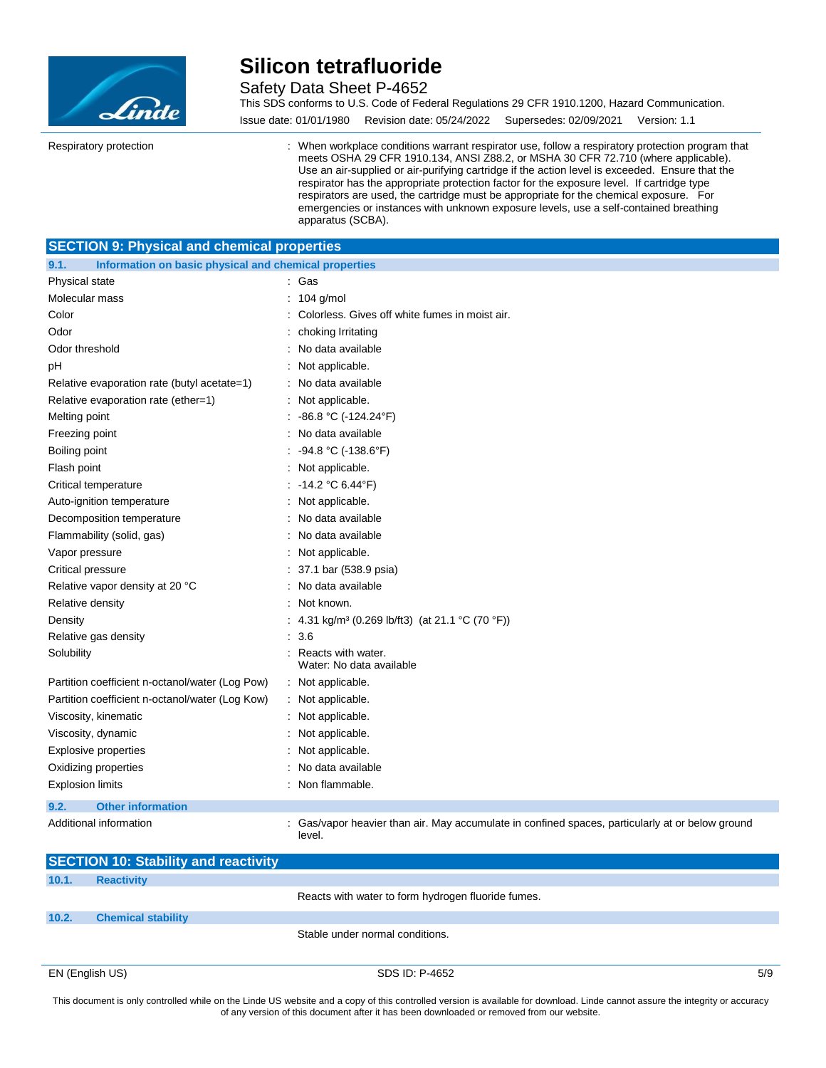

Safety Data Sheet P-4652

This SDS conforms to U.S. Code of Federal Regulations 29 CFR 1910.1200, Hazard Communication. Issue date: 01/01/1980 Revision date: 05/24/2022 Supersedes: 02/09/2021 Version: 1.1

Respiratory protection : When workplace conditions warrant respirator use, follow a respiratory protection program that meets OSHA 29 CFR 1910.134, ANSI Z88.2, or MSHA 30 CFR 72.710 (where applicable). Use an air-supplied or air-purifying cartridge if the action level is exceeded. Ensure that the respirator has the appropriate protection factor for the exposure level. If cartridge type respirators are used, the cartridge must be appropriate for the chemical exposure. For emergencies or instances with unknown exposure levels, use a self-contained breathing apparatus (SCBA).

#### **SECTION 9: Physical and chemical properties**

| 9.1.                                            | Information on basic physical and chemical properties                                            |  |  |  |
|-------------------------------------------------|--------------------------------------------------------------------------------------------------|--|--|--|
| Physical state                                  | : Gas                                                                                            |  |  |  |
| Molecular mass                                  | 104 g/mol                                                                                        |  |  |  |
| Color                                           | : Colorless. Gives off white fumes in moist air.                                                 |  |  |  |
| Odor                                            | choking Irritating                                                                               |  |  |  |
| Odor threshold                                  | : No data available                                                                              |  |  |  |
| рH                                              | : Not applicable.                                                                                |  |  |  |
| Relative evaporation rate (butyl acetate=1)     | : No data available                                                                              |  |  |  |
| Relative evaporation rate (ether=1)             | : Not applicable.                                                                                |  |  |  |
| Melting point                                   | : $-86.8 °C (-124.24 °F)$                                                                        |  |  |  |
| Freezing point                                  | : No data available                                                                              |  |  |  |
| Boiling point                                   | : $-94.8 °C (-138.6 °F)$                                                                         |  |  |  |
| Flash point                                     | : Not applicable.                                                                                |  |  |  |
| Critical temperature                            | : $-14.2$ °C 6.44°F)                                                                             |  |  |  |
| Auto-ignition temperature                       | : Not applicable.                                                                                |  |  |  |
| Decomposition temperature                       | : No data available                                                                              |  |  |  |
| Flammability (solid, gas)                       | : No data available                                                                              |  |  |  |
| Vapor pressure                                  | : Not applicable.                                                                                |  |  |  |
| Critical pressure                               | : 37.1 bar (538.9 psia)                                                                          |  |  |  |
| Relative vapor density at 20 °C                 | No data available                                                                                |  |  |  |
| Relative density                                | Not known.                                                                                       |  |  |  |
| Density                                         | : 4.31 kg/m <sup>3</sup> (0.269 lb/ft3) (at 21.1 °C (70 °F))                                     |  |  |  |
| Relative gas density                            | : 3.6                                                                                            |  |  |  |
| Solubility                                      | : Reacts with water.<br>Water: No data available                                                 |  |  |  |
| Partition coefficient n-octanol/water (Log Pow) | : Not applicable.                                                                                |  |  |  |
| Partition coefficient n-octanol/water (Log Kow) | : Not applicable.                                                                                |  |  |  |
| Viscosity, kinematic                            | : Not applicable.                                                                                |  |  |  |
| Viscosity, dynamic                              | : Not applicable.                                                                                |  |  |  |
| <b>Explosive properties</b>                     | Not applicable.                                                                                  |  |  |  |
| Oxidizing properties                            | No data available                                                                                |  |  |  |
| <b>Explosion limits</b>                         | : Non flammable.                                                                                 |  |  |  |
| 9.2.<br><b>Other information</b>                |                                                                                                  |  |  |  |
| Additional information                          | : Gas/vapor heavier than air. May accumulate in confined spaces, particularly at or below ground |  |  |  |

level.

|       | <b>SECTION 10: Stability and reactivity</b> |                                                    |     |
|-------|---------------------------------------------|----------------------------------------------------|-----|
| 10.1. | <b>Reactivity</b>                           |                                                    |     |
|       |                                             | Reacts with water to form hydrogen fluoride fumes. |     |
| 10.2. | <b>Chemical stability</b>                   |                                                    |     |
|       |                                             | Stable under normal conditions.                    |     |
|       | EN (English US)                             | SDS ID: P-4652                                     | 5/9 |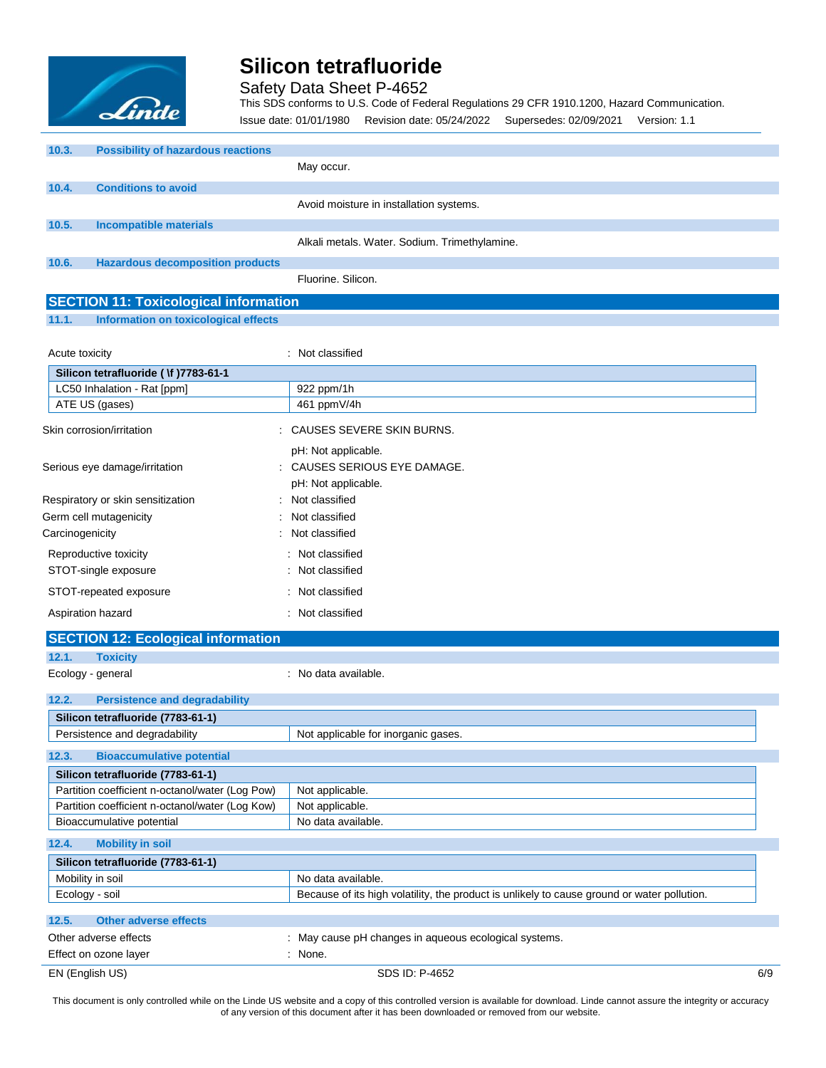

Safety Data Sheet P-4652

This SDS conforms to U.S. Code of Federal Regulations 29 CFR 1910.1200, Hazard Communication.

Issue date: 01/01/1980 Revision date: 05/24/2022 Supersedes: 02/09/2021 Version: 1.1

| 10.3. | <b>Possibility of hazardous reactions</b> |                                               |
|-------|-------------------------------------------|-----------------------------------------------|
|       |                                           | May occur.                                    |
| 10.4. | <b>Conditions to avoid</b>                |                                               |
|       |                                           | Avoid moisture in installation systems.       |
| 10.5. | <b>Incompatible materials</b>             |                                               |
|       |                                           | Alkali metals. Water. Sodium. Trimethylamine. |
| 10.6. | <b>Hazardous decomposition products</b>   |                                               |
|       |                                           | Fluorine, Silicon.                            |

### **SECTION 11: Toxicological information**

### **11.1. Information on toxicological effects**

| Acute toxicity                        | : Not classified             |
|---------------------------------------|------------------------------|
| Silicon tetrafluoride ( \f )7783-61-1 |                              |
| LC50 Inhalation - Rat [ppm]           | 922 ppm/1h                   |
| ATE US (gases)                        | 461 ppmV/4h                  |
| Skin corrosion/irritation             | : CAUSES SEVERE SKIN BURNS.  |
|                                       | pH: Not applicable.          |
| Serious eye damage/irritation         | : CAUSES SERIOUS EYE DAMAGE. |
|                                       | pH: Not applicable.          |
| Respiratory or skin sensitization     | : Not classified             |
| Germ cell mutagenicity                | : Not classified             |
| Carcinogenicity                       | : Not classified             |
| Reproductive toxicity                 | : Not classified             |
| STOT-single exposure                  | : Not classified             |
| STOT-repeated exposure                | : Not classified             |
| Aspiration hazard                     | : Not classified             |

| Silicon tetrafluoride (7783-61-1) |  |  |  |
|-----------------------------------|--|--|--|
|                                   |  |  |  |
|                                   |  |  |  |
|                                   |  |  |  |

| 12.5. | Other adverse effects                          |                                                                |     |
|-------|------------------------------------------------|----------------------------------------------------------------|-----|
|       | Other adverse effects<br>Effect on ozone layer | : May cause pH changes in aqueous ecological systems.<br>None. |     |
|       | EN (English US)                                | SDS ID: P-4652                                                 | 6/9 |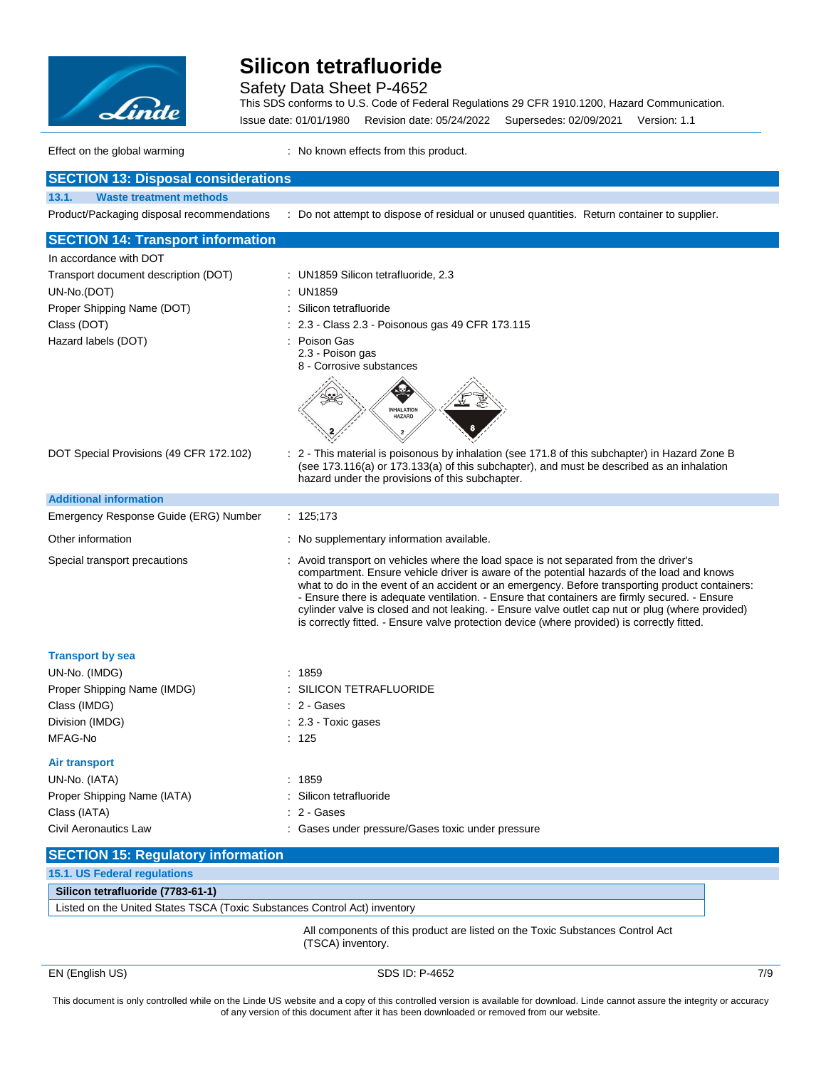

Safety Data Sheet P-4652

This SDS conforms to U.S. Code of Federal Regulations 29 CFR 1910.1200, Hazard Communication. Issue date: 01/01/1980 Revision date: 05/24/2022 Supersedes: 02/09/2021 Version: 1.1

Effect on the global warming **Effect** on the global warming **interpreteral** : No known effects from this product.

| <b>SECTION 13: Disposal considerations</b>                                    |                                                                                                                                                                                                                                                                                                                                                                                                                                                                                                                                                                                            |  |
|-------------------------------------------------------------------------------|--------------------------------------------------------------------------------------------------------------------------------------------------------------------------------------------------------------------------------------------------------------------------------------------------------------------------------------------------------------------------------------------------------------------------------------------------------------------------------------------------------------------------------------------------------------------------------------------|--|
| <b>Waste treatment methods</b><br>13.1.                                       |                                                                                                                                                                                                                                                                                                                                                                                                                                                                                                                                                                                            |  |
| Product/Packaging disposal recommendations                                    | : Do not attempt to dispose of residual or unused quantities. Return container to supplier.                                                                                                                                                                                                                                                                                                                                                                                                                                                                                                |  |
| <b>SECTION 14: Transport information</b>                                      |                                                                                                                                                                                                                                                                                                                                                                                                                                                                                                                                                                                            |  |
| In accordance with DOT                                                        |                                                                                                                                                                                                                                                                                                                                                                                                                                                                                                                                                                                            |  |
| Transport document description (DOT)                                          | : UN1859 Silicon tetrafluoride, 2.3                                                                                                                                                                                                                                                                                                                                                                                                                                                                                                                                                        |  |
| UN-No.(DOT)                                                                   | UN1859                                                                                                                                                                                                                                                                                                                                                                                                                                                                                                                                                                                     |  |
| Proper Shipping Name (DOT)                                                    | Silicon tetrafluoride                                                                                                                                                                                                                                                                                                                                                                                                                                                                                                                                                                      |  |
| Class (DOT)                                                                   | 2.3 - Class 2.3 - Poisonous gas 49 CFR 173.115                                                                                                                                                                                                                                                                                                                                                                                                                                                                                                                                             |  |
| Hazard labels (DOT)                                                           | Poison Gas<br>2.3 - Poison gas<br>8 - Corrosive substances                                                                                                                                                                                                                                                                                                                                                                                                                                                                                                                                 |  |
|                                                                               | <b>INHALATION</b><br><b>HAZARD</b>                                                                                                                                                                                                                                                                                                                                                                                                                                                                                                                                                         |  |
| DOT Special Provisions (49 CFR 172.102)                                       | 2 - This material is poisonous by inhalation (see 171.8 of this subchapter) in Hazard Zone B<br>(see 173.116(a) or 173.133(a) of this subchapter), and must be described as an inhalation<br>hazard under the provisions of this subchapter.                                                                                                                                                                                                                                                                                                                                               |  |
| <b>Additional information</b>                                                 |                                                                                                                                                                                                                                                                                                                                                                                                                                                                                                                                                                                            |  |
| Emergency Response Guide (ERG) Number                                         | : $125;173$                                                                                                                                                                                                                                                                                                                                                                                                                                                                                                                                                                                |  |
| Other information                                                             | : No supplementary information available.                                                                                                                                                                                                                                                                                                                                                                                                                                                                                                                                                  |  |
| Special transport precautions                                                 | : Avoid transport on vehicles where the load space is not separated from the driver's<br>compartment. Ensure vehicle driver is aware of the potential hazards of the load and knows<br>what to do in the event of an accident or an emergency. Before transporting product containers:<br>- Ensure there is adequate ventilation. - Ensure that containers are firmly secured. - Ensure<br>cylinder valve is closed and not leaking. - Ensure valve outlet cap nut or plug (where provided)<br>is correctly fitted. - Ensure valve protection device (where provided) is correctly fitted. |  |
| <b>Transport by sea</b>                                                       |                                                                                                                                                                                                                                                                                                                                                                                                                                                                                                                                                                                            |  |
| UN-No. (IMDG)                                                                 | : 1859                                                                                                                                                                                                                                                                                                                                                                                                                                                                                                                                                                                     |  |
| Proper Shipping Name (IMDG)                                                   | SILICON TETRAFLUORIDE                                                                                                                                                                                                                                                                                                                                                                                                                                                                                                                                                                      |  |
| Class (IMDG)                                                                  | : 2 - Gases                                                                                                                                                                                                                                                                                                                                                                                                                                                                                                                                                                                |  |
| Division (IMDG)                                                               | : 2.3 Toxic gases                                                                                                                                                                                                                                                                                                                                                                                                                                                                                                                                                                          |  |
| MFAG-No                                                                       | : 125                                                                                                                                                                                                                                                                                                                                                                                                                                                                                                                                                                                      |  |
| Air transport                                                                 |                                                                                                                                                                                                                                                                                                                                                                                                                                                                                                                                                                                            |  |
| UN-No. (IATA)                                                                 | : 1859                                                                                                                                                                                                                                                                                                                                                                                                                                                                                                                                                                                     |  |
| Proper Shipping Name (IATA)                                                   | Silicon tetrafluoride                                                                                                                                                                                                                                                                                                                                                                                                                                                                                                                                                                      |  |
| Class (IATA)                                                                  | 2 - Gases                                                                                                                                                                                                                                                                                                                                                                                                                                                                                                                                                                                  |  |
| <b>Civil Aeronautics Law</b>                                                  | : Gases under pressure/Gases toxic under pressure                                                                                                                                                                                                                                                                                                                                                                                                                                                                                                                                          |  |
| <b>SECTION 15: Regulatory information</b>                                     |                                                                                                                                                                                                                                                                                                                                                                                                                                                                                                                                                                                            |  |
| 15.1. US Federal regulations                                                  |                                                                                                                                                                                                                                                                                                                                                                                                                                                                                                                                                                                            |  |
| Silicon tetrafluoride (7783-61-1)                                             |                                                                                                                                                                                                                                                                                                                                                                                                                                                                                                                                                                                            |  |
| Listed on the United States TSCA (Toxic Substances Control Act) inventory     |                                                                                                                                                                                                                                                                                                                                                                                                                                                                                                                                                                                            |  |
| All components of this product are listed on the Toxic Substances Control Act |                                                                                                                                                                                                                                                                                                                                                                                                                                                                                                                                                                                            |  |

(TSCA) inventory.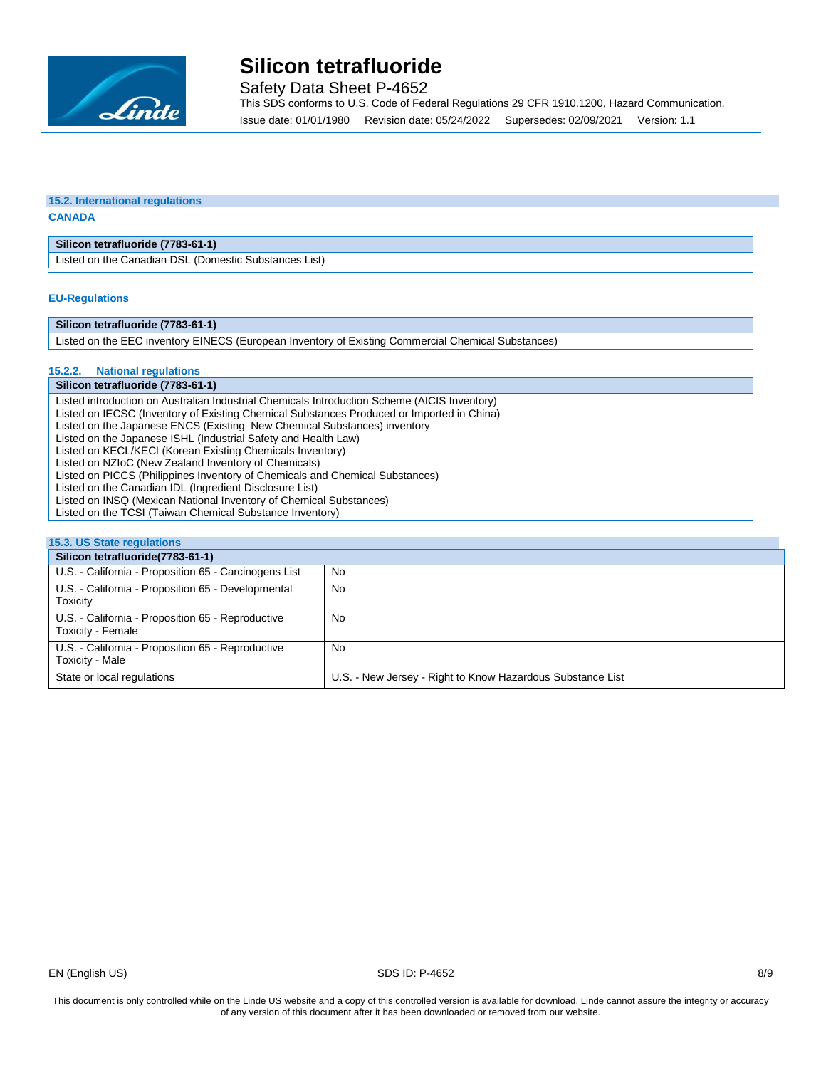

Safety Data Sheet P-4652

This SDS conforms to U.S. Code of Federal Regulations 29 CFR 1910.1200, Hazard Communication. Issue date: 01/01/1980 Revision date: 05/24/2022 Supersedes: 02/09/2021 Version: 1.1

#### **15.2. International regulations CANADA**

**Silicon tetrafluoride (7783-61-1)**

Listed on the Canadian DSL (Domestic Substances List)

#### **EU-Regulations**

#### **Silicon tetrafluoride (7783-61-1)**

Listed on the EEC inventory EINECS (European Inventory of Existing Commercial Chemical Substances)

#### **15.2.2. National regulations**

#### **Silicon tetrafluoride (7783-61-1)**

Listed introduction on Australian Industrial Chemicals Introduction Scheme (AICIS Inventory) Listed on IECSC (Inventory of Existing Chemical Substances Produced or Imported in China) Listed on the Japanese ENCS (Existing New Chemical Substances) inventory Listed on the Japanese ISHL (Industrial Safety and Health Law) Listed on KECL/KECI (Korean Existing Chemicals Inventory) Listed on NZIoC (New Zealand Inventory of Chemicals) Listed on PICCS (Philippines Inventory of Chemicals and Chemical Substances) Listed on the Canadian IDL (Ingredient Disclosure List) Listed on INSQ (Mexican National Inventory of Chemical Substances) Listed on the TCSI (Taiwan Chemical Substance Inventory)

| 15.3. US State regulations                                             |                                                            |  |
|------------------------------------------------------------------------|------------------------------------------------------------|--|
| Silicon tetrafluoride(7783-61-1)                                       |                                                            |  |
| U.S. - California - Proposition 65 - Carcinogens List                  | No                                                         |  |
| U.S. - California - Proposition 65 - Developmental<br>Toxicity         | No                                                         |  |
| U.S. - California - Proposition 65 - Reproductive<br>Toxicity - Female | No                                                         |  |
| U.S. - California - Proposition 65 - Reproductive<br>Toxicity - Male   | No                                                         |  |
| State or local regulations                                             | U.S. - New Jersey - Right to Know Hazardous Substance List |  |